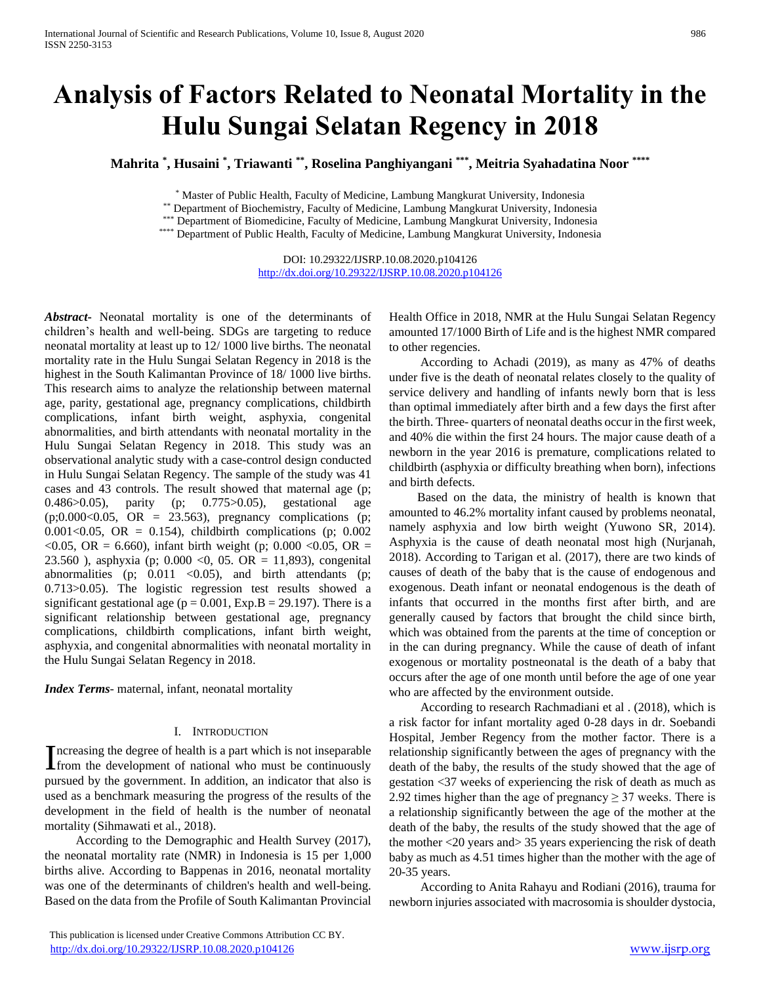# **Analysis of Factors Related to Neonatal Mortality in the Hulu Sungai Selatan Regency in 2018**

**Mahrita \* , Husaini \* , Triawanti \*\* , Roselina Panghiyangani \*\*\* , Meitria Syahadatina Noor \*\*\*\***

\* Master of Public Health, Faculty of Medicine, Lambung Mangkurat University, Indonesia

\*\* Department of Biochemistry, Faculty of Medicine, Lambung Mangkurat University, Indonesia

\*\*\* Department of Biomedicine, Faculty of Medicine, Lambung Mangkurat University, Indonesia

\*\*\*\* Department of Public Health, Faculty of Medicine, Lambung Mangkurat University, Indonesia

DOI: 10.29322/IJSRP.10.08.2020.p104126 <http://dx.doi.org/10.29322/IJSRP.10.08.2020.p104126>

*Abstract***-** Neonatal mortality is one of the determinants of children's health and well-being. SDGs are targeting to reduce neonatal mortality at least up to 12/ 1000 live births. The neonatal mortality rate in the Hulu Sungai Selatan Regency in 2018 is the highest in the South Kalimantan Province of 18/ 1000 live births. This research aims to analyze the relationship between maternal age, parity, gestational age, pregnancy complications, childbirth complications, infant birth weight, asphyxia, congenital abnormalities, and birth attendants with neonatal mortality in the Hulu Sungai Selatan Regency in 2018. This study was an observational analytic study with a case-control design conducted in Hulu Sungai Selatan Regency. The sample of the study was 41 cases and 43 controls. The result showed that maternal age (p; 0.486>0.05), parity (p; 0.775>0.05), gestational age  $(p;0.000<0.05, \text{ OR } = 23.563)$ , pregnancy complications (p; 0.001<0.05, OR = 0.154), childbirth complications (p;  $0.002$ )  $\langle 0.05, \text{ OR } = 6.660$ , infant birth weight (p; 0.000  $\langle 0.05, \text{ OR } =$ 23.560 ), asphyxia (p; 0.000 <0, 05. OR = 11,893), congenital abnormalities (p;  $0.011$  <0.05), and birth attendants (p; 0.713>0.05). The logistic regression test results showed a significant gestational age ( $p = 0.001$ , Exp.B = 29.197). There is a significant relationship between gestational age, pregnancy complications, childbirth complications, infant birth weight, asphyxia, and congenital abnormalities with neonatal mortality in the Hulu Sungai Selatan Regency in 2018.

*Index Terms*- maternal, infant, neonatal mortality

#### I. INTRODUCTION

ncreasing the degree of health is a part which is not inseparable Increasing the degree of health is a part which is not inseparable<br>from the development of national who must be continuously pursued by the government. In addition, an indicator that also is used as a benchmark measuring the progress of the results of the development in the field of health is the number of neonatal mortality (Sihmawati et al., 2018).

 According to the Demographic and Health Survey (2017), the neonatal mortality rate (NMR) in Indonesia is 15 per 1,000 births alive. According to Bappenas in 2016, neonatal mortality was one of the determinants of children's health and well-being. Based on the data from the Profile of South Kalimantan Provincial Health Office in 2018, NMR at the Hulu Sungai Selatan Regency amounted 17/1000 Birth of Life and is the highest NMR compared to other regencies.

 According to Achadi (2019), as many as 47% of deaths under five is the death of neonatal relates closely to the quality of service delivery and handling of infants newly born that is less than optimal immediately after birth and a few days the first after the birth. Three- quarters of neonatal deaths occur in the first week, and 40% die within the first 24 hours. The major cause death of a newborn in the year 2016 is premature, complications related to childbirth (asphyxia or difficulty breathing when born), infections and birth defects.

 Based on the data, the ministry of health is known that amounted to 46.2% mortality infant caused by problems neonatal, namely asphyxia and low birth weight (Yuwono SR, 2014). Asphyxia is the cause of death neonatal most high (Nurjanah, 2018). According to Tarigan et al. (2017), there are two kinds of causes of death of the baby that is the cause of endogenous and exogenous. Death infant or neonatal endogenous is the death of infants that occurred in the months first after birth, and are generally caused by factors that brought the child since birth, which was obtained from the parents at the time of conception or in the can during pregnancy. While the cause of death of infant exogenous or mortality postneonatal is the death of a baby that occurs after the age of one month until before the age of one year who are affected by the environment outside.

 According to research Rachmadiani et al . (2018), which is a risk factor for infant mortality aged 0-28 days in dr. Soebandi Hospital, Jember Regency from the mother factor. There is a relationship significantly between the ages of pregnancy with the death of the baby, the results of the study showed that the age of gestation <37 weeks of experiencing the risk of death as much as 2.92 times higher than the age of pregnancy  $\geq$  37 weeks. There is a relationship significantly between the age of the mother at the death of the baby, the results of the study showed that the age of the mother <20 years and> 35 years experiencing the risk of death baby as much as 4.51 times higher than the mother with the age of 20-35 years.

 According to Anita Rahayu and Rodiani (2016), trauma for newborn injuries associated with macrosomia is shoulder dystocia,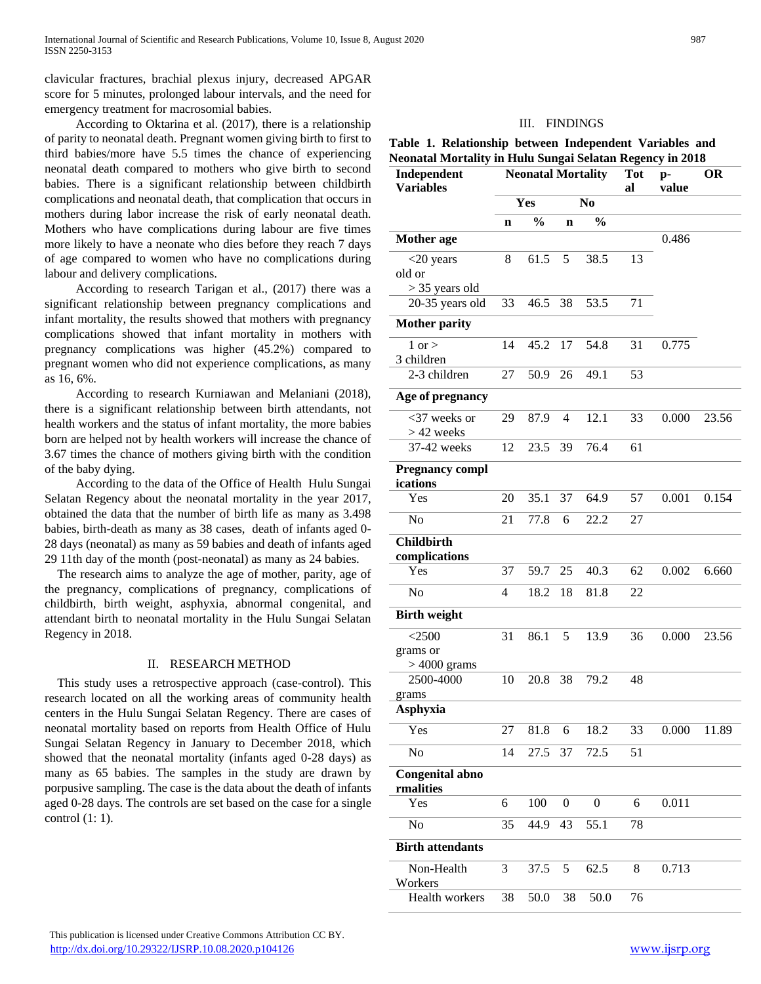clavicular fractures, brachial plexus injury, decreased APGAR score for 5 minutes, prolonged labour intervals, and the need for emergency treatment for macrosomial babies.

 According to Oktarina et al. (2017), there is a relationship of parity to neonatal death. Pregnant women giving birth to first to third babies/more have 5.5 times the chance of experiencing neonatal death compared to mothers who give birth to second babies. There is a significant relationship between childbirth complications and neonatal death, that complication that occurs in mothers during labor increase the risk of early neonatal death. Mothers who have complications during labour are five times more likely to have a neonate who dies before they reach 7 days of age compared to women who have no complications during labour and delivery complications.

 According to research Tarigan et al., (2017) there was a significant relationship between pregnancy complications and infant mortality, the results showed that mothers with pregnancy complications showed that infant mortality in mothers with pregnancy complications was higher (45.2%) compared to pregnant women who did not experience complications, as many as 16, 6%.

 According to research Kurniawan and Melaniani (2018), there is a significant relationship between birth attendants, not health workers and the status of infant mortality, the more babies born are helped not by health workers will increase the chance of 3.67 times the chance of mothers giving birth with the condition of the baby dying.

 According to the data of the Office of Health Hulu Sungai Selatan Regency about the neonatal mortality in the year 2017, obtained the data that the number of birth life as many as 3.498 babies, birth-death as many as 38 cases, death of infants aged 0- 28 days (neonatal) as many as 59 babies and death of infants aged 29 11th day of the month (post-neonatal) as many as 24 babies.

The research aims to analyze the age of mother, parity, age of the pregnancy, complications of pregnancy, complications of childbirth, birth weight, asphyxia, abnormal congenital, and attendant birth to neonatal mortality in the Hulu Sungai Selatan Regency in 2018.

#### II. RESEARCH METHOD

This study uses a retrospective approach (case-control). This research located on all the working areas of community health centers in the Hulu Sungai Selatan Regency. There are cases of neonatal mortality based on reports from Health Office of Hulu Sungai Selatan Regency in January to December 2018, which showed that the neonatal mortality (infants aged 0-28 days) as many as 65 babies. The samples in the study are drawn by porpusive sampling. The case is the data about the death of infants aged 0-28 days. The controls are set based on the case for a single control (1: 1).

# **Table 1. Relationship between Independent Variables and Neonatal Mortality in Hulu Sungai Selatan Regency in 2018**

| Independent<br><b>Variables</b>     | <b>Neonatal Mortality</b> |               |                |                  | <b>Tot</b><br>al | p-<br>value | <b>OR</b> |
|-------------------------------------|---------------------------|---------------|----------------|------------------|------------------|-------------|-----------|
|                                     | N <sub>o</sub><br>Yes     |               |                |                  |                  |             |           |
|                                     | n                         | $\frac{0}{0}$ | $\mathbf n$    | $\frac{0}{0}$    |                  |             |           |
| <b>Mother</b> age                   |                           |               |                |                  |                  | 0.486       |           |
| $<$ 20 years                        | 8                         | 61.5          | 5              | 38.5             | 13               |             |           |
| old or                              |                           |               |                |                  |                  |             |           |
| $>$ 35 years old                    |                           |               |                |                  |                  |             |           |
| 20-35 years old                     | 33                        | 46.5          | 38             | 53.5             | 71               |             |           |
| <b>Mother parity</b>                |                           |               |                |                  |                  |             |           |
| $1$ or $>$                          | 14                        | 45.2          | 17             | 54.8             | 31               | 0.775       |           |
| 3 children                          |                           |               |                |                  |                  |             |           |
| 2-3 children                        | 27                        | 50.9          | 26             | 49.1             | 53               |             |           |
| Age of pregnancy                    |                           |               |                |                  |                  |             |           |
| <37 weeks or                        | 29                        | 87.9          | $\overline{4}$ | 12.1             | 33               | 0.000       | 23.56     |
| $>$ 42 weeks                        |                           |               |                |                  |                  |             |           |
| 37-42 weeks                         | 12                        | 23.5          | 39             | 76.4             | 61               |             |           |
| <b>Pregnancy compl</b>              |                           |               |                |                  |                  |             |           |
| ications                            |                           |               |                |                  |                  |             |           |
| Yes                                 | 20                        | 35.1          | 37             | 64.9             | 57               | 0.001       | 0.154     |
| N <sub>o</sub>                      | 21                        | 77.8          | 6              | 22.2             | 27               |             |           |
| <b>Childbirth</b>                   |                           |               |                |                  |                  |             |           |
| complications                       |                           |               |                |                  |                  |             |           |
| Yes                                 | 37                        | 59.7          | 25             | 40.3             | 62               | 0.002       | 6.660     |
| N <sub>o</sub>                      | $\overline{4}$            | 18.2          | 18             | 81.8             | 22               |             |           |
| <b>Birth weight</b>                 |                           |               |                |                  |                  |             |           |
| $<$ 2500                            | 31                        | 86.1          | 5              | 13.9             | 36               | 0.000       | 23.56     |
| grams or                            |                           |               |                |                  |                  |             |           |
| $>4000$ grams                       |                           |               |                |                  |                  |             |           |
| 2500-4000                           | 10                        | 20.8          | 38             | 79.2             | 48               |             |           |
| grams<br><b>Asphyxia</b>            |                           |               |                |                  |                  |             |           |
| Yes                                 | 27                        | 81.8          | 6              | 18.2             | 33               | 0.000       | 11.89     |
| No                                  | 14                        | 27.5          | 37             | 72.5             | 51               |             |           |
|                                     |                           |               |                |                  |                  |             |           |
| <b>Congenital abno</b><br>rmalities |                           |               |                |                  |                  |             |           |
| Yes                                 | 6                         | 100           | $\overline{0}$ | $\boldsymbol{0}$ | 6                | 0.011       |           |
| No                                  | 35                        | 44.9          | 43             | 55.1             | 78               |             |           |
| <b>Birth attendants</b>             |                           |               |                |                  |                  |             |           |
| Non-Health                          | 3                         | 37.5          | 5              | 62.5             | 8                | 0.713       |           |
| Workers                             |                           |               |                |                  |                  |             |           |
| Health workers                      | 38                        | 50.0          | 38             | 50.0             | 76               |             |           |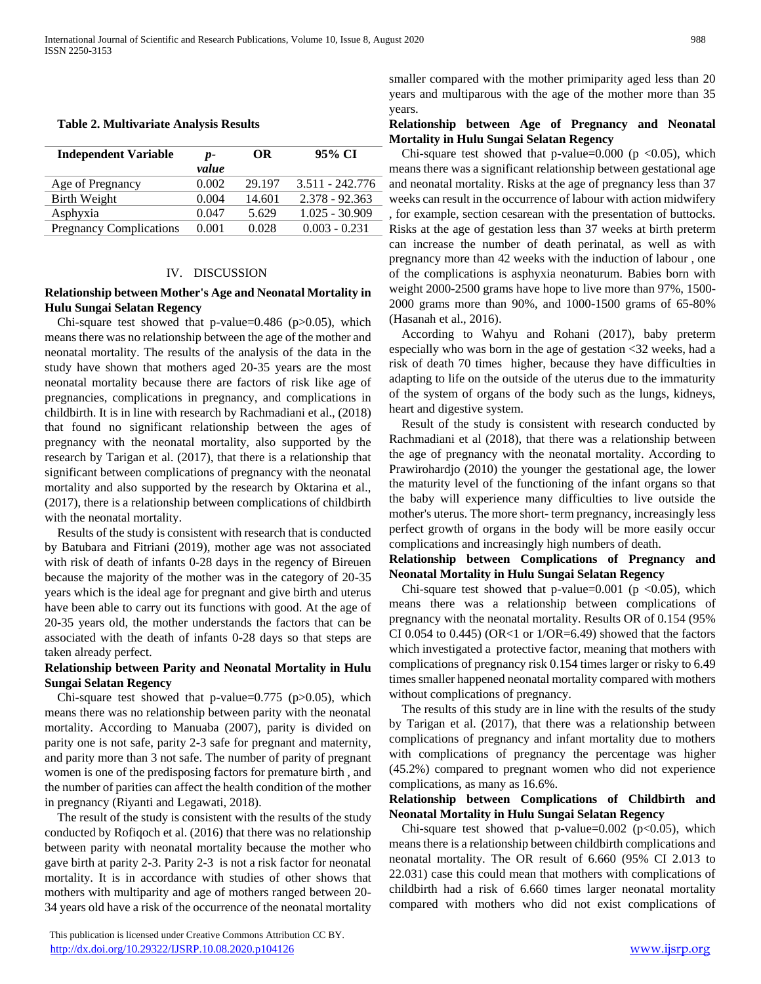#### **Table 2. Multivariate Analysis Results**

| <b>Independent Variable</b>    | $p-$<br>value | OR     | 95% CI           |
|--------------------------------|---------------|--------|------------------|
| Age of Pregnancy               | 0.002         | 29.197 | 3.511 - 242.776  |
| <b>Birth Weight</b>            | 0.004         | 14.601 | 2.378 - 92.363   |
| Asphyxia                       | 0.047         | 5.629  | $1.025 - 30.909$ |
| <b>Pregnancy Complications</b> | 0.001         | 0.028  | $0.003 - 0.231$  |

## IV. DISCUSSION

### **Relationship between Mother's Age and Neonatal Mortality in Hulu Sungai Selatan Regency**

Chi-square test showed that p-value= $0.486$  (p $>0.05$ ), which means there was no relationship between the age of the mother and neonatal mortality. The results of the analysis of the data in the study have shown that mothers aged 20-35 years are the most neonatal mortality because there are factors of risk like age of pregnancies, complications in pregnancy, and complications in childbirth. It is in line with research by Rachmadiani et al., (2018) that found no significant relationship between the ages of pregnancy with the neonatal mortality, also supported by the research by Tarigan et al. (2017), that there is a relationship that significant between complications of pregnancy with the neonatal mortality and also supported by the research by Oktarina et al., (2017), there is a relationship between complications of childbirth with the neonatal mortality.

Results of the study is consistent with research that is conducted by Batubara and Fitriani (2019), mother age was not associated with risk of death of infants 0-28 days in the regency of Bireuen because the majority of the mother was in the category of 20-35 years which is the ideal age for pregnant and give birth and uterus have been able to carry out its functions with good. At the age of 20-35 years old, the mother understands the factors that can be associated with the death of infants 0-28 days so that steps are taken already perfect.

## **Relationship between Parity and Neonatal Mortality in Hulu Sungai Selatan Regency**

Chi-square test showed that p-value= $0.775$  (p $>0.05$ ), which means there was no relationship between parity with the neonatal mortality. According to Manuaba (2007), parity is divided on parity one is not safe, parity 2-3 safe for pregnant and maternity, and parity more than 3 not safe. The number of parity of pregnant women is one of the predisposing factors for premature birth , and the number of parities can affect the health condition of the mother in pregnancy (Riyanti and Legawati, 2018).

The result of the study is consistent with the results of the study conducted by Rofiqoch et al. (2016) that there was no relationship between parity with neonatal mortality because the mother who gave birth at parity 2-3. Parity 2-3 is not a risk factor for neonatal mortality. It is in accordance with studies of other shows that mothers with multiparity and age of mothers ranged between 20- 34 years old have a risk of the occurrence of the neonatal mortality

smaller compared with the mother primiparity aged less than 20 years and multiparous with the age of the mother more than 35 years.

#### **Relationship between Age of Pregnancy and Neonatal Mortality in Hulu Sungai Selatan Regency**

Chi-square test showed that p-value=0.000 ( $p < 0.05$ ), which means there was a significant relationship between gestational age and neonatal mortality. Risks at the age of pregnancy less than 37 weeks can result in the occurrence of labour with action midwifery , for example, section cesarean with the presentation of buttocks. Risks at the age of gestation less than 37 weeks at birth preterm can increase the number of death perinatal, as well as with pregnancy more than 42 weeks with the induction of labour , one of the complications is asphyxia neonaturum. Babies born with weight 2000-2500 grams have hope to live more than 97%, 1500- 2000 grams more than 90%, and 1000-1500 grams of 65-80% (Hasanah et al., 2016).

According to Wahyu and Rohani (2017), baby preterm especially who was born in the age of gestation <32 weeks, had a risk of death 70 times higher, because they have difficulties in adapting to life on the outside of the uterus due to the immaturity of the system of organs of the body such as the lungs, kidneys, heart and digestive system.

Result of the study is consistent with research conducted by Rachmadiani et al (2018), that there was a relationship between the age of pregnancy with the neonatal mortality. According to Prawirohardjo (2010) the younger the gestational age, the lower the maturity level of the functioning of the infant organs so that the baby will experience many difficulties to live outside the mother's uterus. The more short- term pregnancy, increasingly less perfect growth of organs in the body will be more easily occur complications and increasingly high numbers of death.

**Relationship between Complications of Pregnancy and Neonatal Mortality in Hulu Sungai Selatan Regency** 

Chi-square test showed that p-value=0.001 (p  $<0.05$ ), which means there was a relationship between complications of pregnancy with the neonatal mortality. Results OR of 0.154 (95% CI 0.054 to 0.445) (OR<1 or  $1/OR=6.49$ ) showed that the factors which investigated a protective factor, meaning that mothers with complications of pregnancy risk 0.154 times larger or risky to 6.49 times smaller happened neonatal mortality compared with mothers without complications of pregnancy.

The results of this study are in line with the results of the study by Tarigan et al. (2017), that there was a relationship between complications of pregnancy and infant mortality due to mothers with complications of pregnancy the percentage was higher (45.2%) compared to pregnant women who did not experience complications, as many as 16.6%.

## **Relationship between Complications of Childbirth and Neonatal Mortality in Hulu Sungai Selatan Regency**

Chi-square test showed that p-value= $0.002$  (p< $0.05$ ), which means there is a relationship between childbirth complications and neonatal mortality. The OR result of 6.660 (95% CI 2.013 to 22.031) case this could mean that mothers with complications of childbirth had a risk of 6.660 times larger neonatal mortality compared with mothers who did not exist complications of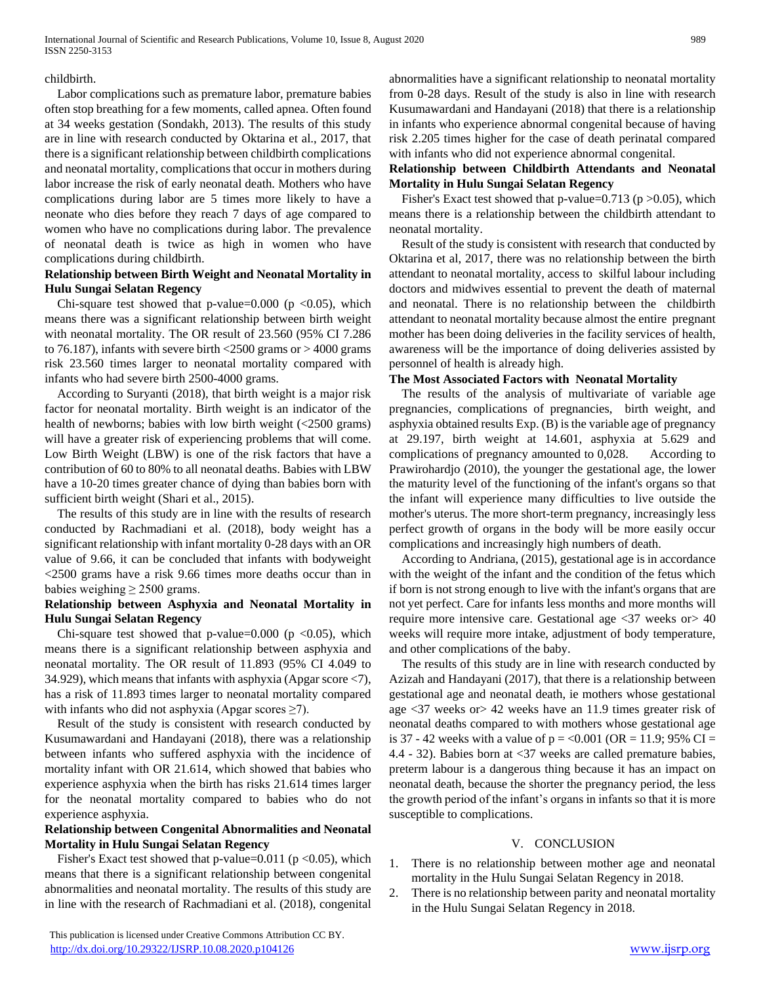#### childbirth.

Labor complications such as premature labor, premature babies often stop breathing for a few moments, called apnea. Often found at 34 weeks gestation (Sondakh, 2013). The results of this study are in line with research conducted by Oktarina et al., 2017, that there is a significant relationship between childbirth complications and neonatal mortality, complications that occur in mothers during labor increase the risk of early neonatal death. Mothers who have complications during labor are 5 times more likely to have a neonate who dies before they reach 7 days of age compared to women who have no complications during labor. The prevalence of neonatal death is twice as high in women who have complications during childbirth.

# **Relationship between Birth Weight and Neonatal Mortality in Hulu Sungai Selatan Regency**

Chi-square test showed that p-value=0.000 (p  $\langle 0.05 \rangle$ , which means there was a significant relationship between birth weight with neonatal mortality. The OR result of 23.560 (95% CI 7.286 to 76.187), infants with severe birth  $\langle 2500 \text{ grams} \text{ or } > 4000 \text{ grams}$ risk 23.560 times larger to neonatal mortality compared with infants who had severe birth 2500-4000 grams.

According to Suryanti (2018), that birth weight is a major risk factor for neonatal mortality. Birth weight is an indicator of the health of newborns; babies with low birth weight (<2500 grams) will have a greater risk of experiencing problems that will come. Low Birth Weight (LBW) is one of the risk factors that have a contribution of 60 to 80% to all neonatal deaths. Babies with LBW have a 10-20 times greater chance of dying than babies born with sufficient birth weight (Shari et al., 2015).

The results of this study are in line with the results of research conducted by Rachmadiani et al. (2018), body weight has a significant relationship with infant mortality 0-28 days with an OR value of 9.66, it can be concluded that infants with bodyweight <2500 grams have a risk 9.66 times more deaths occur than in babies weighing  $\geq$  2500 grams.

## **Relationship between Asphyxia and Neonatal Mortality in Hulu Sungai Selatan Regency**

Chi-square test showed that p-value= $0.000$  (p < $0.05$ ), which means there is a significant relationship between asphyxia and neonatal mortality. The OR result of 11.893 (95% CI 4.049 to 34.929), which means that infants with asphyxia (Apgar score <7), has a risk of 11.893 times larger to neonatal mortality compared with infants who did not asphyxia (Apgar scores  $\geq 7$ ).

Result of the study is consistent with research conducted by Kusumawardani and Handayani (2018), there was a relationship between infants who suffered asphyxia with the incidence of mortality infant with OR 21.614, which showed that babies who experience asphyxia when the birth has risks 21.614 times larger for the neonatal mortality compared to babies who do not experience asphyxia.

## **Relationship between Congenital Abnormalities and Neonatal Mortality in Hulu Sungai Selatan Regency**

Fisher's Exact test showed that p-value=0.011 ( $p$  <0.05), which means that there is a significant relationship between congenital abnormalities and neonatal mortality. The results of this study are in line with the research of Rachmadiani et al. (2018), congenital

abnormalities have a significant relationship to neonatal mortality from 0-28 days. Result of the study is also in line with research Kusumawardani and Handayani (2018) that there is a relationship in infants who experience abnormal congenital because of having risk 2.205 times higher for the case of death perinatal compared with infants who did not experience abnormal congenital.

# **Relationship between Childbirth Attendants and Neonatal Mortality in Hulu Sungai Selatan Regency**

Fisher's Exact test showed that p-value=0.713 ( $p > 0.05$ ), which means there is a relationship between the childbirth attendant to neonatal mortality.

Result of the study is consistent with research that conducted by Oktarina et al, 2017, there was no relationship between the birth attendant to neonatal mortality, access to skilful labour including doctors and midwives essential to prevent the death of maternal and neonatal. There is no relationship between the childbirth attendant to neonatal mortality because almost the entire pregnant mother has been doing deliveries in the facility services of health, awareness will be the importance of doing deliveries assisted by personnel of health is already high.

## **The Most Associated Factors with Neonatal Mortality**

The results of the analysis of multivariate of variable age pregnancies, complications of pregnancies, birth weight, and asphyxia obtained results Exp. (B) is the variable age of pregnancy at 29.197, birth weight at 14.601, asphyxia at 5.629 and complications of pregnancy amounted to 0,028. According to Prawirohardjo (2010), the younger the gestational age, the lower the maturity level of the functioning of the infant's organs so that the infant will experience many difficulties to live outside the mother's uterus. The more short-term pregnancy, increasingly less perfect growth of organs in the body will be more easily occur complications and increasingly high numbers of death.

According to Andriana, (2015), gestational age is in accordance with the weight of the infant and the condition of the fetus which if born is not strong enough to live with the infant's organs that are not yet perfect. Care for infants less months and more months will require more intensive care. Gestational age <37 weeks or> 40 weeks will require more intake, adjustment of body temperature, and other complications of the baby.

The results of this study are in line with research conducted by Azizah and Handayani (2017), that there is a relationship between gestational age and neonatal death, ie mothers whose gestational age <37 weeks or> 42 weeks have an 11.9 times greater risk of neonatal deaths compared to with mothers whose gestational age is 37 - 42 weeks with a value of  $p = 0.001$  (OR = 11.9; 95% CI = 4.4 - 32). Babies born at <37 weeks are called premature babies, preterm labour is a dangerous thing because it has an impact on neonatal death, because the shorter the pregnancy period, the less the growth period of the infant's organs in infants so that it is more susceptible to complications.

#### V. CONCLUSION

- 1. There is no relationship between mother age and neonatal mortality in the Hulu Sungai Selatan Regency in 2018.
- 2. There is no relationship between parity and neonatal mortality in the Hulu Sungai Selatan Regency in 2018.